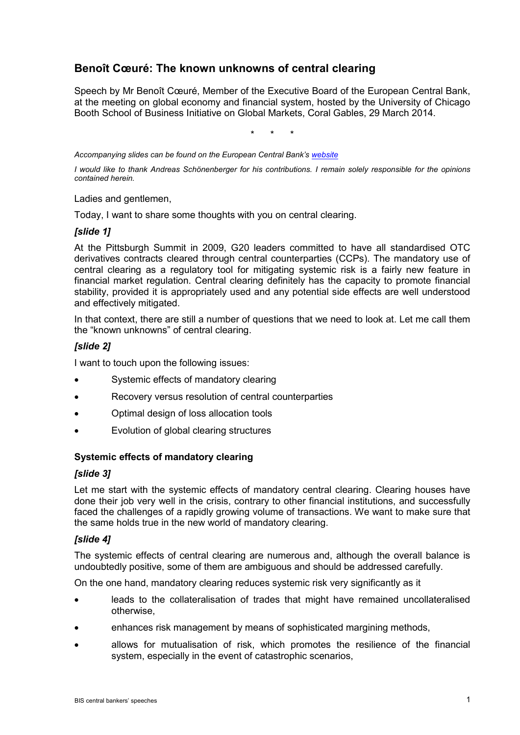# **Benoît Cœuré: The known unknowns of central clearing**

Speech by Mr Benoît Cœuré, Member of the Executive Board of the European Central Bank, at the meeting on global economy and financial system, hosted by the University of Chicago Booth School of Business Initiative on Global Markets, Coral Gables, 29 March 2014.

\* \* \*

*Accompanying slides can be found on the European Central Bank'[s website](http://www.ecb.europa.eu/press/key/date/2014/html/sp140331.en.html)*

*I would like to thank Andreas Schönenberger for his contributions. I remain solely responsible for the opinions contained herein.*

Ladies and gentlemen,

Today, I want to share some thoughts with you on central clearing.

#### *[slide 1]*

At the Pittsburgh Summit in 2009, G20 leaders committed to have all standardised OTC derivatives contracts cleared through central counterparties (CCPs). The mandatory use of central clearing as a regulatory tool for mitigating systemic risk is a fairly new feature in financial market regulation. Central clearing definitely has the capacity to promote financial stability, provided it is appropriately used and any potential side effects are well understood and effectively mitigated.

In that context, there are still a number of questions that we need to look at. Let me call them the "known unknowns" of central clearing.

# *[slide 2]*

I want to touch upon the following issues:

- Systemic effects of mandatory clearing
- Recovery versus resolution of central counterparties
- Optimal design of loss allocation tools
- Evolution of global clearing structures

## **Systemic effects of mandatory clearing**

## *[slide 3]*

Let me start with the systemic effects of mandatory central clearing. Clearing houses have done their job very well in the crisis, contrary to other financial institutions, and successfully faced the challenges of a rapidly growing volume of transactions. We want to make sure that the same holds true in the new world of mandatory clearing.

## *[slide 4]*

The systemic effects of central clearing are numerous and, although the overall balance is undoubtedly positive, some of them are ambiguous and should be addressed carefully.

On the one hand, mandatory clearing reduces systemic risk very significantly as it

- leads to the collateralisation of trades that might have remained uncollateralised otherwise,
- enhances risk management by means of sophisticated margining methods,
- allows for mutualisation of risk, which promotes the resilience of the financial system, especially in the event of catastrophic scenarios,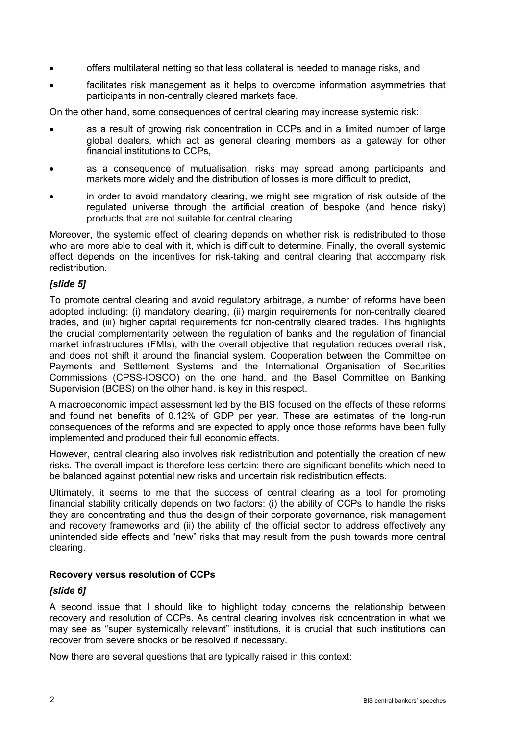- offers multilateral netting so that less collateral is needed to manage risks, and
- facilitates risk management as it helps to overcome information asymmetries that participants in non-centrally cleared markets face.

On the other hand, some consequences of central clearing may increase systemic risk:

- as a result of growing risk concentration in CCPs and in a limited number of large global dealers, which act as general clearing members as a gateway for other financial institutions to CCPs,
- as a consequence of mutualisation, risks may spread among participants and markets more widely and the distribution of losses is more difficult to predict,
- in order to avoid mandatory clearing, we might see migration of risk outside of the regulated universe through the artificial creation of bespoke (and hence risky) products that are not suitable for central clearing.

Moreover, the systemic effect of clearing depends on whether risk is redistributed to those who are more able to deal with it, which is difficult to determine. Finally, the overall systemic effect depends on the incentives for risk-taking and central clearing that accompany risk redistribution.

#### *[slide 5]*

To promote central clearing and avoid regulatory arbitrage, a number of reforms have been adopted including: (i) mandatory clearing, (ii) margin requirements for non-centrally cleared trades, and (iii) higher capital requirements for non-centrally cleared trades. This highlights the crucial complementarity between the regulation of banks and the regulation of financial market infrastructures (FMIs), with the overall objective that regulation reduces overall risk, and does not shift it around the financial system. Cooperation between the Committee on Payments and Settlement Systems and the International Organisation of Securities Commissions (CPSS-IOSCO) on the one hand, and the Basel Committee on Banking Supervision (BCBS) on the other hand, is key in this respect.

A macroeconomic impact assessment led by the BIS focused on the effects of these reforms and found net benefits of 0.12% of GDP per year. These are estimates of the long-run consequences of the reforms and are expected to apply once those reforms have been fully implemented and produced their full economic effects.

However, central clearing also involves risk redistribution and potentially the creation of new risks. The overall impact is therefore less certain: there are significant benefits which need to be balanced against potential new risks and uncertain risk redistribution effects.

Ultimately, it seems to me that the success of central clearing as a tool for promoting financial stability critically depends on two factors: (i) the ability of CCPs to handle the risks they are concentrating and thus the design of their corporate governance, risk management and recovery frameworks and (ii) the ability of the official sector to address effectively any unintended side effects and "new" risks that may result from the push towards more central clearing.

#### **Recovery versus resolution of CCPs**

#### *[slide 6]*

A second issue that I should like to highlight today concerns the relationship between recovery and resolution of CCPs. As central clearing involves risk concentration in what we may see as "super systemically relevant" institutions, it is crucial that such institutions can recover from severe shocks or be resolved if necessary.

Now there are several questions that are typically raised in this context: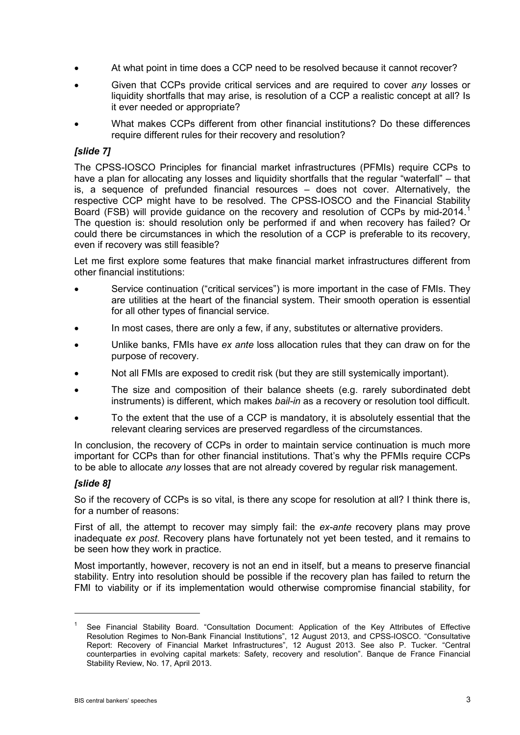- At what point in time does a CCP need to be resolved because it cannot recover?
- Given that CCPs provide critical services and are required to cover *any* losses or liquidity shortfalls that may arise, is resolution of a CCP a realistic concept at all? Is it ever needed or appropriate?
- What makes CCPs different from other financial institutions? Do these differences require different rules for their recovery and resolution?

## *[slide 7]*

The CPSS-IOSCO Principles for financial market infrastructures (PFMIs) require CCPs to have a plan for allocating any losses and liquidity shortfalls that the regular "waterfall" – that is, a sequence of prefunded financial resources – does not cover. Alternatively, the respective CCP might have to be resolved. The CPSS-IOSCO and the Financial Stability Board (FSB) will provide guidance on the recovery and resolution of CCPs by mid-20[1](#page-2-0)4. The question is: should resolution only be performed if and when recovery has failed? Or could there be circumstances in which the resolution of a CCP is preferable to its recovery, even if recovery was still feasible?

Let me first explore some features that make financial market infrastructures different from other financial institutions:

- Service continuation ("critical services") is more important in the case of FMIs. They are utilities at the heart of the financial system. Their smooth operation is essential for all other types of financial service.
- In most cases, there are only a few, if any, substitutes or alternative providers.
- Unlike banks, FMIs have *ex ante* loss allocation rules that they can draw on for the purpose of recovery.
- Not all FMIs are exposed to credit risk (but they are still systemically important).
- The size and composition of their balance sheets (e.g. rarely subordinated debt instruments) is different, which makes *bail-in* as a recovery or resolution tool difficult.
- To the extent that the use of a CCP is mandatory, it is absolutely essential that the relevant clearing services are preserved regardless of the circumstances.

In conclusion, the recovery of CCPs in order to maintain service continuation is much more important for CCPs than for other financial institutions. That's why the PFMIs require CCPs to be able to allocate *any* losses that are not already covered by regular risk management.

## *[slide 8]*

-

So if the recovery of CCPs is so vital, is there any scope for resolution at all? I think there is, for a number of reasons:

First of all, the attempt to recover may simply fail: the *ex-ante* recovery plans may prove inadequate *ex post*. Recovery plans have fortunately not yet been tested, and it remains to be seen how they work in practice.

Most importantly, however, recovery is not an end in itself, but a means to preserve financial stability. Entry into resolution should be possible if the recovery plan has failed to return the FMI to viability or if its implementation would otherwise compromise financial stability, for

<span id="page-2-0"></span><sup>&</sup>lt;sup>1</sup> See Financial Stability Board. "Consultation Document: Application of the Key Attributes of Effective Resolution Regimes to Non-Bank Financial Institutions", 12 August 2013, and CPSS-IOSCO. "Consultative Report: Recovery of Financial Market Infrastructures", 12 August 2013. See also P. Tucker. "Central counterparties in evolving capital markets: Safety, recovery and resolution". Banque de France Financial Stability Review, No. 17, April 2013.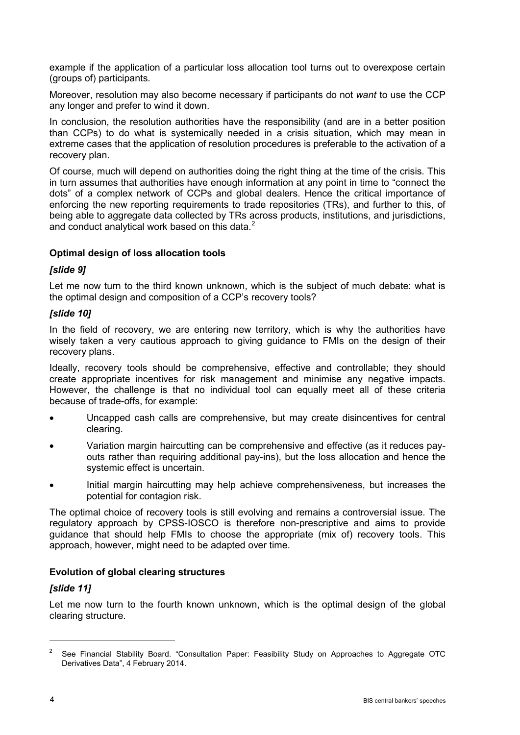example if the application of a particular loss allocation tool turns out to overexpose certain (groups of) participants.

Moreover, resolution may also become necessary if participants do not *want* to use the CCP any longer and prefer to wind it down.

In conclusion, the resolution authorities have the responsibility (and are in a better position than CCPs) to do what is systemically needed in a crisis situation, which may mean in extreme cases that the application of resolution procedures is preferable to the activation of a recovery plan.

Of course, much will depend on authorities doing the right thing at the time of the crisis. This in turn assumes that authorities have enough information at any point in time to "connect the dots" of a complex network of CCPs and global dealers. Hence the critical importance of enforcing the new reporting requirements to trade repositories (TRs), and further to this, of being able to aggregate data collected by TRs across products, institutions, and jurisdictions, and conduct analytical work based on this data.<sup>[2](#page-3-0)</sup>

## **Optimal design of loss allocation tools**

#### *[slide 9]*

Let me now turn to the third known unknown, which is the subject of much debate: what is the optimal design and composition of a CCP's recovery tools?

#### *[slide 10]*

In the field of recovery, we are entering new territory, which is why the authorities have wisely taken a very cautious approach to giving guidance to FMIs on the design of their recovery plans.

Ideally, recovery tools should be comprehensive, effective and controllable; they should create appropriate incentives for risk management and minimise any negative impacts. However, the challenge is that no individual tool can equally meet all of these criteria because of trade-offs, for example:

- Uncapped cash calls are comprehensive, but may create disincentives for central clearing.
- Variation margin haircutting can be comprehensive and effective (as it reduces payouts rather than requiring additional pay-ins), but the loss allocation and hence the systemic effect is uncertain.
- Initial margin haircutting may help achieve comprehensiveness, but increases the potential for contagion risk.

The optimal choice of recovery tools is still evolving and remains a controversial issue. The regulatory approach by CPSS-IOSCO is therefore non-prescriptive and aims to provide guidance that should help FMIs to choose the appropriate (mix of) recovery tools. This approach, however, might need to be adapted over time.

#### **Evolution of global clearing structures**

## *[slide 11]*

Let me now turn to the fourth known unknown, which is the optimal design of the global clearing structure.

-

<span id="page-3-0"></span><sup>2</sup> See Financial Stability Board. "Consultation Paper: Feasibility Study on Approaches to Aggregate OTC Derivatives Data", 4 February 2014.